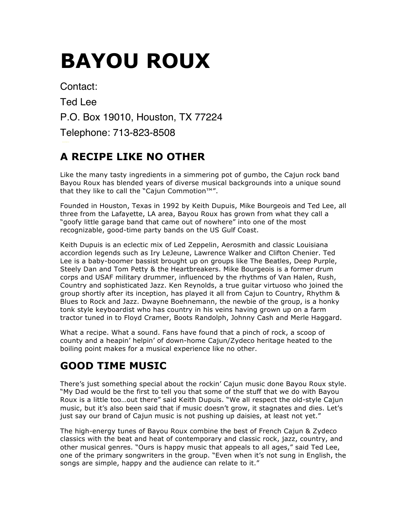# **BAYOU ROUX**

Contact: Ted Lee P.O. Box 19010, Houston, TX 77224 Telephone: 713-823-8508

### **A RECIPE LIKE NO OTHER**

Like the many tasty ingredients in a simmering pot of gumbo, the Cajun rock band Bayou Roux has blended years of diverse musical backgrounds into a unique sound that they like to call the "Cajun Commotion™".

Founded in Houston, Texas in 1992 by Keith Dupuis, Mike Bourgeois and Ted Lee, all three from the Lafayette, LA area, Bayou Roux has grown from what they call a "goofy little garage band that came out of nowhere" into one of the most recognizable, good-time party bands on the US Gulf Coast.

Keith Dupuis is an eclectic mix of Led Zeppelin, Aerosmith and classic Louisiana accordion legends such as Iry LeJeune, Lawrence Walker and Clifton Chenier. Ted Lee is a baby-boomer bassist brought up on groups like The Beatles, Deep Purple, Steely Dan and Tom Petty & the Heartbreakers. Mike Bourgeois is a former drum corps and USAF military drummer, influenced by the rhythms of Van Halen, Rush, Country and sophisticated Jazz. Ken Reynolds, a true guitar virtuoso who joined the group shortly after its inception, has played it all from Cajun to Country, Rhythm & Blues to Rock and Jazz. Dwayne Boehnemann, the newbie of the group, is a honky tonk style keyboardist who has country in his veins having grown up on a farm tractor tuned in to Floyd Cramer, Boots Randolph, Johnny Cash and Merle Haggard.

What a recipe. What a sound. Fans have found that a pinch of rock, a scoop of county and a heapin' helpin' of down-home Cajun/Zydeco heritage heated to the boiling point makes for a musical experience like no other.

## **GOOD TIME MUSIC**

There's just something special about the rockin' Cajun music done Bayou Roux style. "My Dad would be the first to tell you that some of the stuff that we do with Bayou Roux is a little too…out there" said Keith Dupuis. "We all respect the old-style Cajun music, but it's also been said that if music doesn't grow, it stagnates and dies. Let's just say our brand of Cajun music is not pushing up daisies, at least not yet."

The high-energy tunes of Bayou Roux combine the best of French Cajun & Zydeco classics with the beat and heat of contemporary and classic rock, jazz, country, and other musical genres. "Ours is happy music that appeals to all ages," said Ted Lee, one of the primary songwriters in the group. "Even when it's not sung in English, the songs are simple, happy and the audience can relate to it."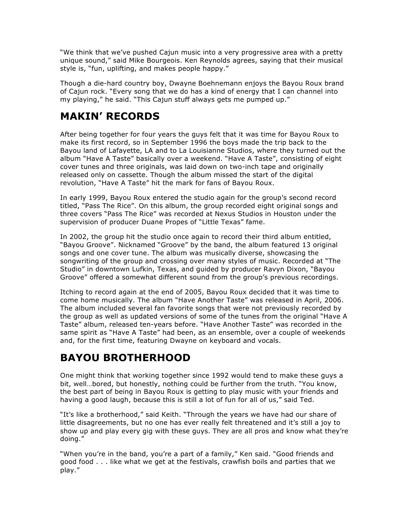"We think that we've pushed Cajun music into a very progressive area with a pretty unique sound," said Mike Bourgeois. Ken Reynolds agrees, saying that their musical style is, "fun, uplifting, and makes people happy."

Though a die-hard country boy, Dwayne Boehnemann enjoys the Bayou Roux brand of Cajun rock. "Every song that we do has a kind of energy that I can channel into my playing," he said. "This Cajun stuff always gets me pumped up."

#### **MAKIN' RECORDS**

After being together for four years the guys felt that it was time for Bayou Roux to make its first record, so in September 1996 the boys made the trip back to the Bayou land of Lafayette, LA and to La Louisianne Studios, where they turned out the album "Have A Taste" basically over a weekend. "Have A Taste", consisting of eight cover tunes and three originals, was laid down on two-inch tape and originally released only on cassette. Though the album missed the start of the digital revolution, "Have A Taste" hit the mark for fans of Bayou Roux.

In early 1999, Bayou Roux entered the studio again for the group's second record titled, "Pass The Rice". On this album, the group recorded eight original songs and three covers "Pass The Rice" was recorded at Nexus Studios in Houston under the supervision of producer Duane Propes of "Little Texas" fame.

In 2002, the group hit the studio once again to record their third album entitled, "Bayou Groove". Nicknamed "Groove" by the band, the album featured 13 original songs and one cover tune. The album was musically diverse, showcasing the songwriting of the group and crossing over many styles of music. Recorded at "The Studio" in downtown Lufkin, Texas, and guided by producer Ravyn Dixon, "Bayou Groove" offered a somewhat different sound from the group's previous recordings.

Itching to record again at the end of 2005, Bayou Roux decided that it was time to come home musically. The album "Have Another Taste" was released in April, 2006. The album included several fan favorite songs that were not previously recorded by the group as well as updated versions of some of the tunes from the original "Have A Taste" album, released ten-years before. "Have Another Taste" was recorded in the same spirit as "Have A Taste" had been, as an ensemble, over a couple of weekends and, for the first time, featuring Dwayne on keyboard and vocals.

#### **BAYOU BROTHERHOOD**

One might think that working together since 1992 would tend to make these guys a bit, well…bored, but honestly, nothing could be further from the truth. "You know, the best part of being in Bayou Roux is getting to play music with your friends and having a good laugh, because this is still a lot of fun for all of us," said Ted.

"It's like a brotherhood," said Keith. "Through the years we have had our share of little disagreements, but no one has ever really felt threatened and it's still a joy to show up and play every gig with these guys. They are all pros and know what they're doing."

"When you're in the band, you're a part of a family," Ken said. "Good friends and good food . . . like what we get at the festivals, crawfish boils and parties that we play."